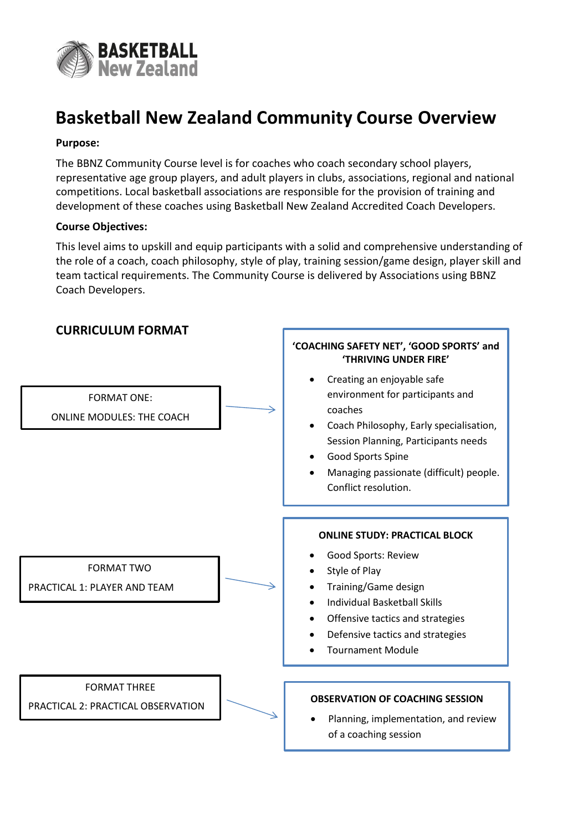

## **Basketball New Zealand Community Course Overview**

#### **Purpose:**

The BBNZ Community Course level is for coaches who coach secondary school players, representative age group players, and adult players in clubs, associations, regional and national competitions. Local basketball associations are responsible for the provision of training and development of these coaches using Basketball New Zealand Accredited Coach Developers.

#### **Course Objectives:**

This level aims to upskill and equip participants with a solid and comprehensive understanding of the role of a coach, coach philosophy, style of play, training session/game design, player skill and team tactical requirements. The Community Course is delivered by Associations using BBNZ Coach Developers.

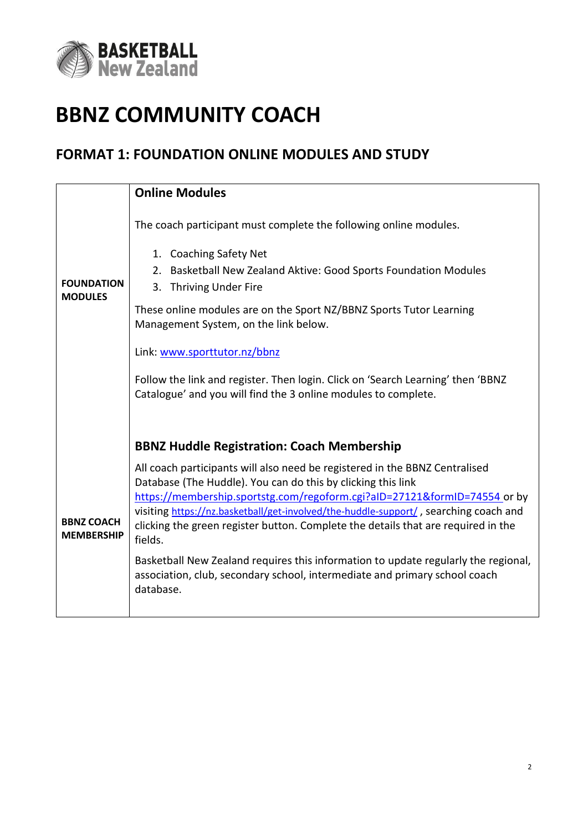

# **BBNZ COMMUNITY COACH**

### **FORMAT 1: FOUNDATION ONLINE MODULES AND STUDY**

|                                        | <b>Online Modules</b>                                                                                                                                                                                                                                                                                                                                                                                                                                                                                                                                                                                                                                  |
|----------------------------------------|--------------------------------------------------------------------------------------------------------------------------------------------------------------------------------------------------------------------------------------------------------------------------------------------------------------------------------------------------------------------------------------------------------------------------------------------------------------------------------------------------------------------------------------------------------------------------------------------------------------------------------------------------------|
| <b>FOUNDATION</b><br><b>MODULES</b>    | The coach participant must complete the following online modules.<br>1. Coaching Safety Net<br>Basketball New Zealand Aktive: Good Sports Foundation Modules<br>2.<br>3.<br><b>Thriving Under Fire</b><br>These online modules are on the Sport NZ/BBNZ Sports Tutor Learning<br>Management System, on the link below.<br>Link: www.sporttutor.nz/bbnz<br>Follow the link and register. Then login. Click on 'Search Learning' then 'BBNZ<br>Catalogue' and you will find the 3 online modules to complete.                                                                                                                                            |
| <b>BBNZ COACH</b><br><b>MEMBERSHIP</b> | <b>BBNZ Huddle Registration: Coach Membership</b><br>All coach participants will also need be registered in the BBNZ Centralised<br>Database (The Huddle). You can do this by clicking this link<br>https://membership.sportstg.com/regoform.cgi?alD=27121&formID=74554 or by<br>visiting https://nz.basketball/get-involved/the-huddle-support/, searching coach and<br>clicking the green register button. Complete the details that are required in the<br>fields.<br>Basketball New Zealand requires this information to update regularly the regional,<br>association, club, secondary school, intermediate and primary school coach<br>database. |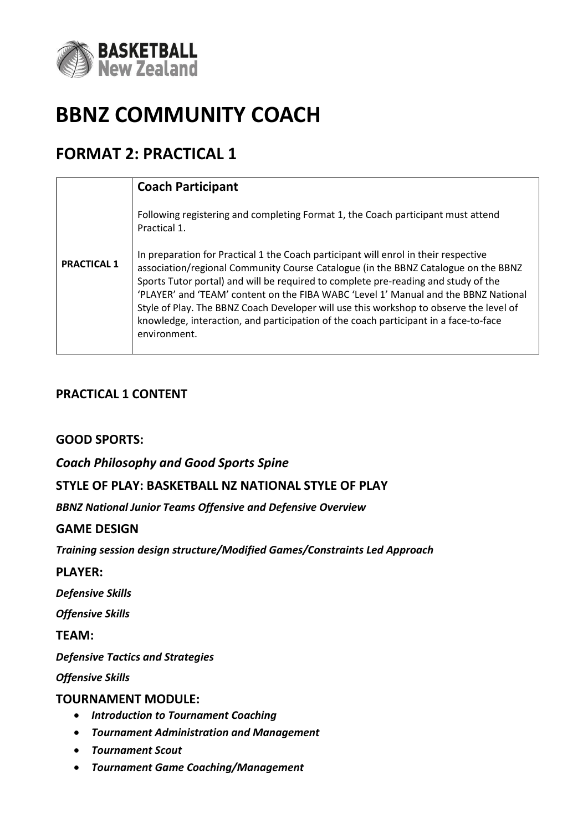

# **BBNZ COMMUNITY COACH**

## **FORMAT 2: PRACTICAL 1**

|                    | <b>Coach Participant</b>                                                                                                                                                                                                                                                                                                                                                                                                                                                                                                                                 |
|--------------------|----------------------------------------------------------------------------------------------------------------------------------------------------------------------------------------------------------------------------------------------------------------------------------------------------------------------------------------------------------------------------------------------------------------------------------------------------------------------------------------------------------------------------------------------------------|
| <b>PRACTICAL 1</b> | Following registering and completing Format 1, the Coach participant must attend<br>Practical 1.                                                                                                                                                                                                                                                                                                                                                                                                                                                         |
|                    | In preparation for Practical 1 the Coach participant will enrol in their respective<br>association/regional Community Course Catalogue (in the BBNZ Catalogue on the BBNZ<br>Sports Tutor portal) and will be required to complete pre-reading and study of the<br>'PLAYER' and 'TEAM' content on the FIBA WABC 'Level 1' Manual and the BBNZ National<br>Style of Play. The BBNZ Coach Developer will use this workshop to observe the level of<br>knowledge, interaction, and participation of the coach participant in a face-to-face<br>environment. |

### **PRACTICAL 1 CONTENT**

### **GOOD SPORTS:**

*Coach Philosophy and Good Sports Spine*

### **STYLE OF PLAY: BASKETBALL NZ NATIONAL STYLE OF PLAY**

*BBNZ National Junior Teams Offensive and Defensive Overview*

### **GAME DESIGN**

*Training session design structure/Modified Games/Constraints Led Approach*

**PLAYER:**

*Defensive Skills*

*Offensive Skills*

**TEAM:**

*Defensive Tactics and Strategies*

*Offensive Skills*

### **TOURNAMENT MODULE:**

- *Introduction to Tournament Coaching*
- *Tournament Administration and Management*
- *Tournament Scout*
- *Tournament Game Coaching/Management*